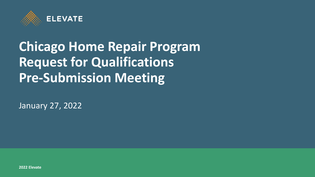

# **Chicago Home Repair Program Request for Qualifications Pre-Submission Meeting**

January 27, 2022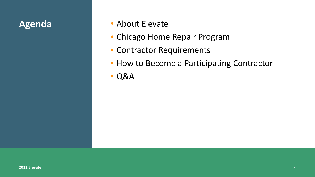- **Agenda** About Elevate
	- Chicago Home Repair Program
	- Contractor Requirements
	- How to Become a Participating Contractor
	- Q&A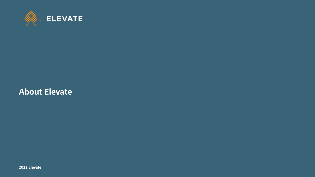

#### **About Elevate**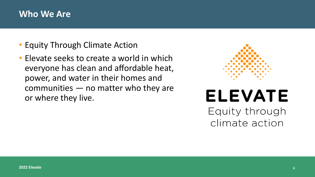#### **Who We Are**

- Equity Through Climate Action
- Elevate seeks to create a world in which everyone has clean and affordable heat, power, and water in their homes and communities — no matter who they are or where they live.



# **ELEVATE** Equity through

climate action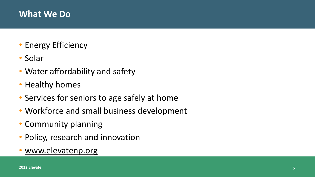### **What We Do**

- Energy Efficiency
- Solar
- Water affordability and safety
- Healthy homes
- Services for seniors to age safely at home
- Workforce and small business development
- Community planning
- Policy, research and innovation
- [www.elevatenp.org](http://www.elevatenp.org/)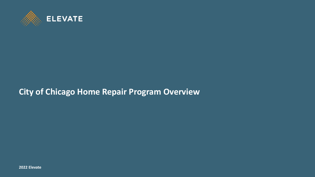

# **City of Chicago Home Repair Program Overview**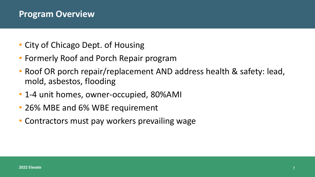#### **Program Overview**

- City of Chicago Dept. of Housing
- Formerly Roof and Porch Repair program
- Roof OR porch repair/replacement AND address health & safety: lead, mold, asbestos, flooding
- 1-4 unit homes, owner-occupied, 80%AMI
- 26% MBE and 6% WBE requirement
- Contractors must pay workers prevailing wage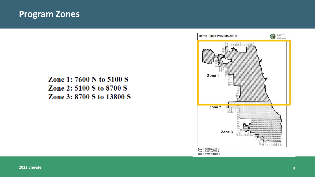#### **Program Zones**

#### Zone 1: 7600 N to 5100 S Zone 2: 5100 S to 8700 S Zone 3: 8700 S to 13800 S

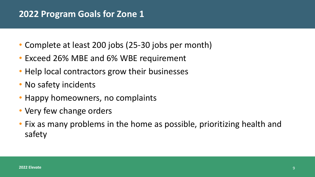# **2022 Program Goals for Zone 1**

- Complete at least 200 jobs (25-30 jobs per month)
- Exceed 26% MBE and 6% WBE requirement
- Help local contractors grow their businesses
- No safety incidents
- Happy homeowners, no complaints
- Very few change orders
- Fix as many problems in the home as possible, prioritizing health and safety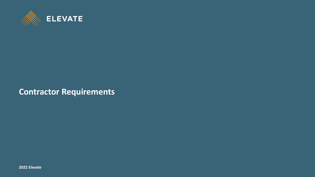

#### **Contractor Requirements**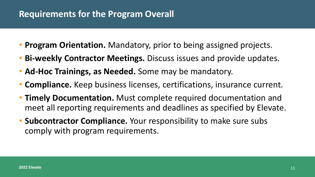#### **Requirements for the Program Overall**

- **Program Orientation.** Mandatory, prior to being assigned projects.
- **Bi-weekly Contractor Meetings.** Discuss issues and provide updates.
- **Ad-Hoc Trainings, as Needed.** Some may be mandatory.
- **Compliance.** Keep business licenses, certifications, insurance current.
- **Timely Documentation.** Must complete required documentation and meet all reporting requirements and deadlines as specified by Elevate.
- **Subcontractor Compliance.** Your responsibility to make sure subs comply with program requirements.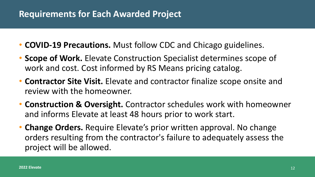#### **Requirements for Each Awarded Project**

- **COVID-19 Precautions.** Must follow CDC and Chicago guidelines.
- **Scope of Work.** Elevate Construction Specialist determines scope of work and cost. Cost informed by RS Means pricing catalog.
- **Contractor Site Visit.** Elevate and contractor finalize scope onsite and review with the homeowner.
- **Construction & Oversight.** Contractor schedules work with homeowner and informs Elevate at least 48 hours prior to work start.
- **Change Orders.** Require Elevate's prior written approval. No change orders resulting from the contractor's failure to adequately assess the project will be allowed.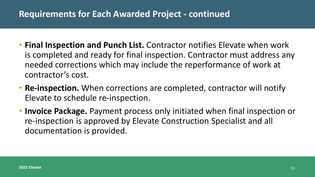### **Requirements for Each Awarded Project - continued**

- **Final Inspection and Punch List.** Contractor notifies Elevate when work is completed and ready for final inspection. Contractor must address any needed corrections which may include the reperformance of work at contractor's cost.
- **Re-inspection.** When corrections are completed, contractor will notify Elevate to schedule re-inspection.
- **Invoice Package.** Payment process only initiated when final inspection or re-inspection is approved by Elevate Construction Specialist and all documentation is provided.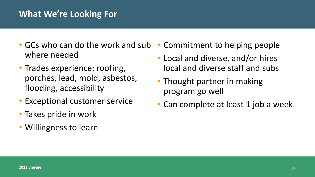#### **What We're Looking For**

- GCs who can do the work and sub where needed
- Trades experience: roofing, porches, lead, mold, asbestos, flooding, accessibility
- Exceptional customer service
- Takes pride in work
- Willingness to learn
- Commitment to helping people
- Local and diverse, and/or hires local and diverse staff and subs
- Thought partner in making program go well
- Can complete at least 1 job a week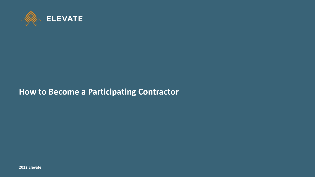

#### **How to Become a Participating Contractor**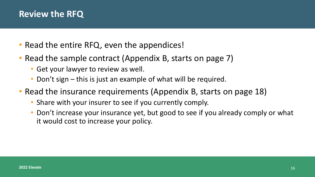### **Review the RFQ**

- Read the entire RFQ, even the appendices!
- Read the sample contract (Appendix B, starts on page 7)
	- Get your lawyer to review as well.
	- Don't sign this is just an example of what will be required.
- Read the insurance requirements (Appendix B, starts on page 18)
	- Share with your insurer to see if you currently comply.
	- Don't increase your insurance yet, but good to see if you already comply or what it would cost to increase your policy.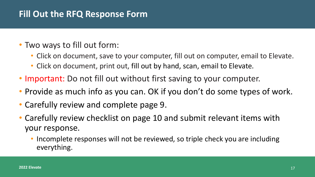# **Fill Out the RFQ Response Form**

#### • Two ways to fill out form:

- Click on document, save to your computer, fill out on computer, email to Elevate.
- Click on document, print out, fill out by hand, scan, email to Elevate.
- Important: Do not fill out without first saving to your computer.
- Provide as much info as you can. OK if you don't do some types of work.
- Carefully review and complete page 9.
- Carefully review checklist on page 10 and submit relevant items with your response.
	- Incomplete responses will not be reviewed, so triple check you are including everything.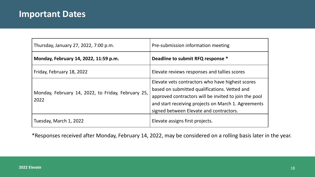| Thursday, January 27, 2022, 7:00 p.m.                      | Pre-submission information meeting                                                                                                                                                                                |
|------------------------------------------------------------|-------------------------------------------------------------------------------------------------------------------------------------------------------------------------------------------------------------------|
| Monday, February 14, 2022, 11:59 p.m.                      | Deadline to submit RFQ response *                                                                                                                                                                                 |
| Friday, February 18, 2022                                  | Elevate reviews responses and tallies scores                                                                                                                                                                      |
| Monday, February 14, 2022, to Friday, February 25,<br>2022 | Elevate vets contractors who have highest scores<br>based on submitted qualifications. Vetted and<br>approved contractors will be invited to join the pool<br>and start receiving projects on March 1. Agreements |
|                                                            | signed between Elevate and contractors.                                                                                                                                                                           |
| Tuesday, March 1, 2022                                     | Elevate assigns first projects.                                                                                                                                                                                   |

\*Responses received after Monday, February 14, 2022, may be considered on a rolling basis later in the year.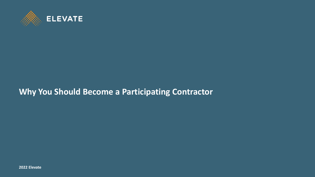

# **Why You Should Become a Participating Contractor**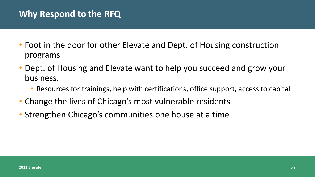### **Why Respond to the RFQ**

- Foot in the door for other Elevate and Dept. of Housing construction programs
- Dept. of Housing and Elevate want to help you succeed and grow your business.
	- Resources for trainings, help with certifications, office support, access to capital
- Change the lives of Chicago's most vulnerable residents
- Strengthen Chicago's communities one house at a time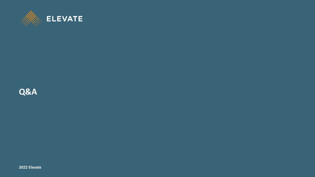